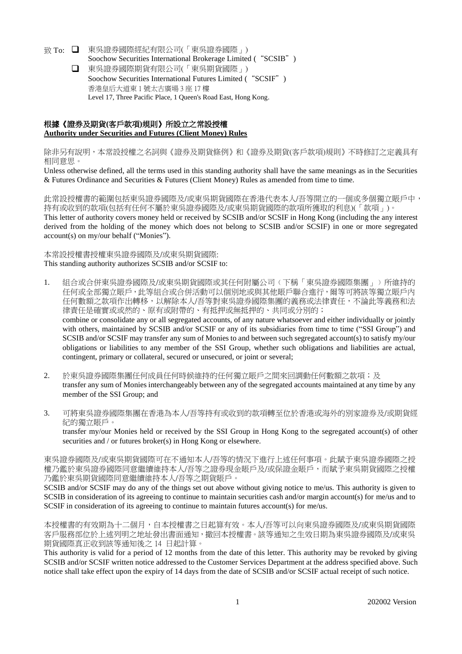- 致 To: 東吳證券國際經紀有限公司(「東吳證券國際」) Soochow Securities International Brokerage Limited ("SCSIB")
	- 東吳證券國際期貨有限公司(「東吳期貨國際」) Soochow Securities International Futures Limited ("SCSIF") 香港皇后大道東 1 號太古廣場 3 座 17 樓 Level 17, Three Pacific Place, 1 Queen's Road East, Hong Kong.

## 根據《證券及期貨**(**客戶款項**)**規則》所設立之常設授權 **Authority under Securities and Futures (Client Money) Rules**

除非另有說明,本常設授權之名詞與《證券及期貨條例》和《證券及期貨(客戶款項)規則》不時修訂之定義具有 相同意思。

Unless otherwise defined, all the terms used in this standing authority shall have the same meanings as in the Securities & Futures Ordinance and Securities & Futures (Client Money) Rules as amended from time to time.

此常設授權書的範圍包括東吳證券國際及/或東吳期貨國際在香港代表本人/吾等開立的一個或多個獨立賬戶中, 持有或收到的款項(包括有任何不屬於東吳證券國際及/或東吳期貨國際的款項所獲取的利息)(「款項」)。 This letter of authority covers money held or received by SCSIB and/or SCSIF in Hong Kong (including the any interest derived from the holding of the money which does not belong to SCSIB and/or SCSIF) in one or more segregated account(s) on my/our behalf ("Monies").

## 本常設授權書授權東吳證券國際及/或東吳期貨國際: This standing authority authorizes SCSIB and/or SCSIF to:

- 1. 組合或合併東吳證券國際及/或東吳期貨國際或其任何附屬公司(下稱「東吳證券國際集團」)所維持的 任何或全部獨立賬戶,此等組合或合併活動可以個別地或與其他賬戶聯合進行,爾等可將該等獨立賬戶內 任何數額之款項作出轉移,以解除本人/吾等對東吳證券國際集團的義務或法律責任,不論此等義務和法 律責任是確實或或然的、原有或附帶的、有抵押或無抵押的、共同或分別的; combine or consolidate any or all segregated accounts, of any nature whatsoever and either individually or jointly with others, maintained by SCSIB and/or SCSIF or any of its subsidiaries from time to time ("SSI Group") and SCSIB and/or SCSIF may transfer any sum of Monies to and between such segregated account(s) to satisfy my/our obligations or liabilities to any member of the SSI Group, whether such obligations and liabilities are actual, contingent, primary or collateral, secured or unsecured, or joint or several;
- 2. 於東吳證券國際集團任何成員任何時候維持的任何獨立賬戶之間來回調動任何數額之款項;及 transfer any sum of Monies interchangeably between any of the segregated accounts maintained at any time by any member of the SSI Group; and
- 3. 可將東吳證券國際集團在香港為本人/吾等持有或收到的款項轉至位於香港或海外的別家證券及/或期貨經 紀的獨立賬戶。

transfer my/our Monies held or received by the SSI Group in Hong Kong to the segregated account(s) of other securities and / or futures broker(s) in Hong Kong or elsewhere.

東吳證券國際及/或東吳期貨國際可在不通知本人/吾等的情況下進行上述任何事項。此賦予東吳證券國際之授 權乃鑑於東吳證券國際同意繼續維持本人/吾等之證券現金賬戶及/或保證金賬戶,而賦予東吳期貨國際之授權 乃鑑於東吳期貨國際同意繼續維持本人/吾等之期貨賬戶。

SCSIB and/or SCSIF may do any of the things set out above without giving notice to me/us. This authority is given to SCSIB in consideration of its agreeing to continue to maintain securities cash and/or margin account(s) for me/us and to SCSIF in consideration of its agreeing to continue to maintain futures account(s) for me/us.

本授權書的有效期為十二個月,自本授權書之日起算有效。本人/吾等可以向東吳證券國際及/或東吳期貨國際 客戶服務部位於上述列明之地址發出書面通知,撤回本授權書。該等通知之生效日期為東吳證券國際及/或東吳 期貨國際真正收到該等通知後之 14 日起計算。

This authority is valid for a period of 12 months from the date of this letter. This authority may be revoked by giving SCSIB and/or SCSIF written notice addressed to the Customer Services Department at the address specified above. Such notice shall take effect upon the expiry of 14 days from the date of SCSIB and/or SCSIF actual receipt of such notice.